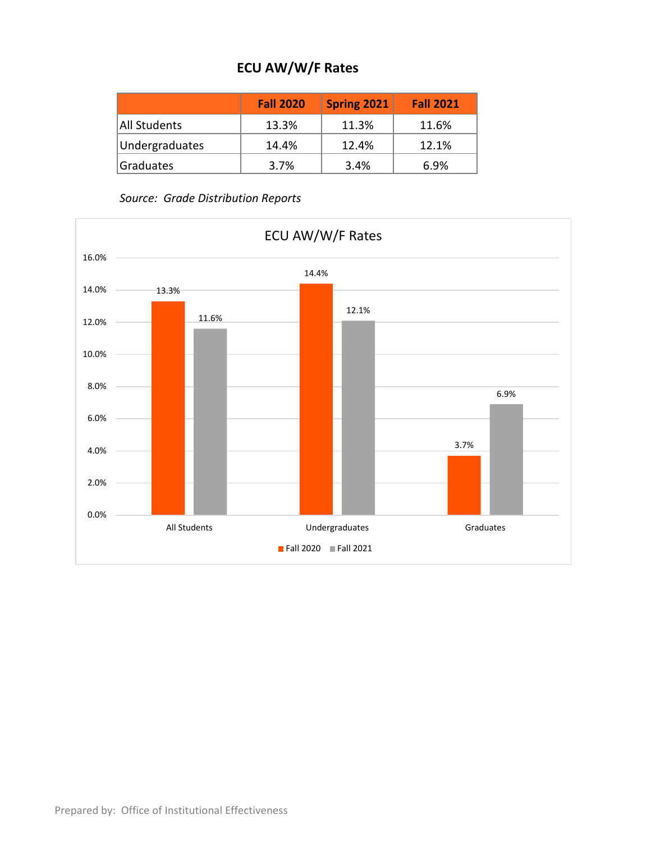## **ECU AW/W/F Rates**

|                | <b>Fall 2020</b> | <b>Spring 2021</b> | <b>Fall 2021</b> |
|----------------|------------------|--------------------|------------------|
| All Students   | 13.3%            | 11.3%              | 11.6%            |
| Undergraduates | 14.4%            | 12.4%              | 12.1%            |
| Graduates      | 3.7%             | 3.4%               | 6.9%             |

*Source: Grade Distribution Reports*

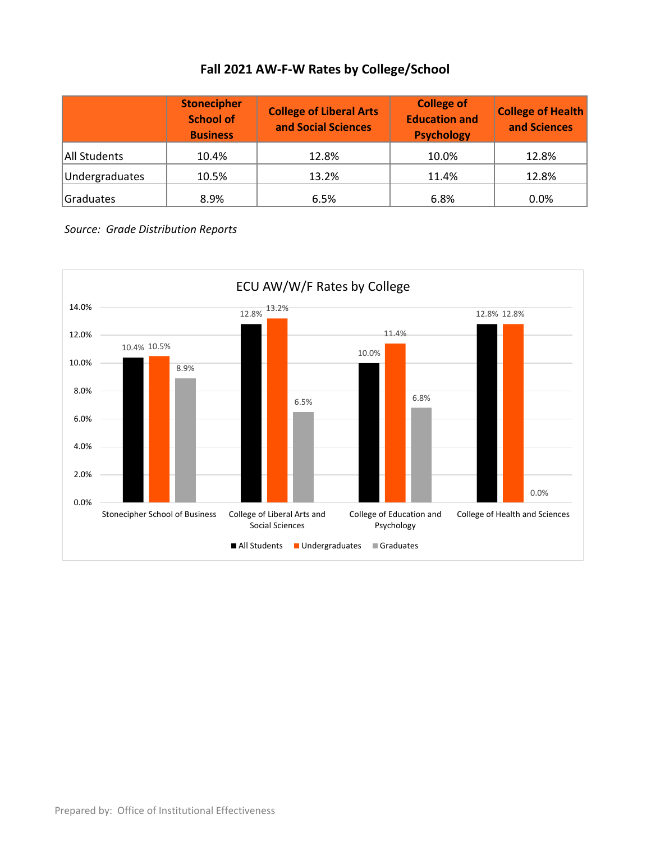## **Fall 2021 AW-F-W Rates by College/School**

|                | <b>Stonecipher</b><br><b>School of</b><br><b>Business</b> | <b>College of Liberal Arts</b><br>and Social Sciences | <b>College of</b><br><b>Education and</b><br><b>Psychology</b> | <b>College of Health</b><br>and Sciences |  |
|----------------|-----------------------------------------------------------|-------------------------------------------------------|----------------------------------------------------------------|------------------------------------------|--|
| All Students   | 10.4%                                                     | 12.8%                                                 | 10.0%                                                          | 12.8%                                    |  |
| Undergraduates | 10.5%                                                     | 13.2%                                                 | 11.4%                                                          | 12.8%                                    |  |
| Graduates      | 8.9%                                                      | 6.5%                                                  | 6.8%                                                           | 0.0%                                     |  |

*Source: Grade Distribution Reports*